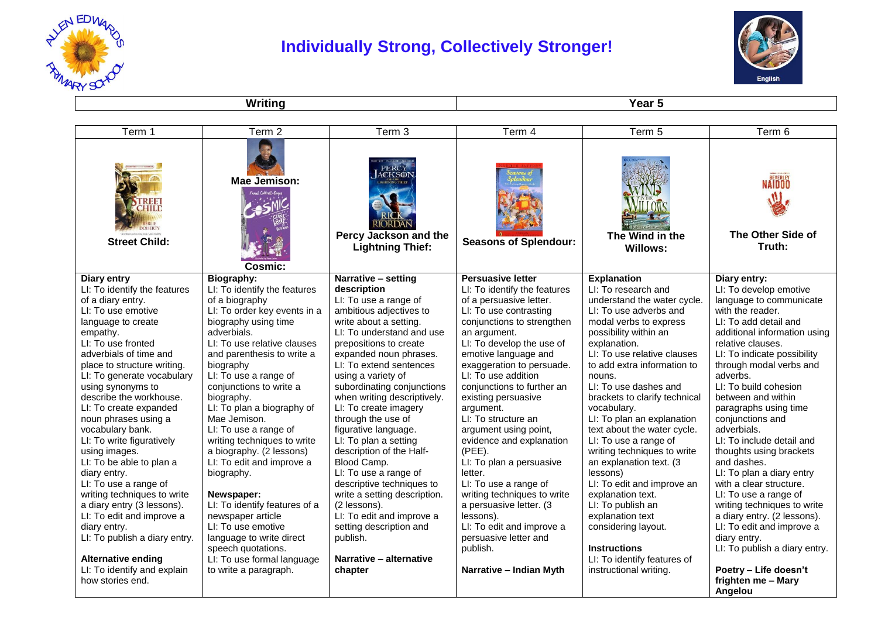

## **Individually Strong, Collectively Stronger!**



**Writing Year 5** 

| Term 1                                            | Term 2                                                     | Term 3                                                               | Term 4                                                  | Term 5                                               | Term 6                                                   |
|---------------------------------------------------|------------------------------------------------------------|----------------------------------------------------------------------|---------------------------------------------------------|------------------------------------------------------|----------------------------------------------------------|
| CHILI<br><b>Street Child:</b>                     | Mae Jemison:<br>$5$ and $6$ offered $R_{\rm A}$<br>Cosmic: | ACKSO<br>RIORDAN<br>Percy Jackson and the<br><b>Lightning Thief:</b> | <b>Seasons of Splendour:</b>                            | The Wind in the<br><b>Willows:</b>                   | BEVERLEY<br><b>NAIDOO</b><br>The Other Side of<br>Truth: |
| Diary entry                                       | Biography:                                                 | Narrative - setting                                                  | <b>Persuasive letter</b>                                | <b>Explanation</b>                                   | Diary entry:                                             |
| LI: To identify the features<br>of a diary entry. | LI: To identify the features<br>of a biography             | description<br>LI: To use a range of                                 | LI: To identify the features<br>of a persuasive letter. | LI: To research and<br>understand the water cycle.   | LI: To develop emotive<br>language to communicate        |
| LI: To use emotive                                | LI: To order key events in a                               | ambitious adjectives to                                              | LI: To use contrasting                                  | LI: To use adverbs and                               | with the reader.                                         |
| language to create                                | biography using time                                       | write about a setting.                                               | conjunctions to strengthen                              | modal verbs to express                               | LI: To add detail and                                    |
| empathy.                                          | adverbials.                                                | LI: To understand and use                                            | an argument.                                            | possibility within an                                | additional information using                             |
| LI: To use fronted                                | LI: To use relative clauses                                | prepositions to create                                               | LI: To develop the use of                               | explanation.                                         | relative clauses.                                        |
| adverbials of time and                            | and parenthesis to write a                                 | expanded noun phrases.                                               | emotive language and                                    | LI: To use relative clauses                          | LI: To indicate possibility                              |
| place to structure writing.                       | biography                                                  | LI: To extend sentences                                              | exaggeration to persuade.                               | to add extra information to                          | through modal verbs and                                  |
| LI: To generate vocabulary                        | LI: To use a range of                                      | using a variety of                                                   | LI: To use addition                                     | nouns.                                               | adverbs.                                                 |
| using synonyms to                                 | conjunctions to write a                                    | subordinating conjunctions                                           | conjunctions to further an                              | LI: To use dashes and                                | LI: To build cohesion                                    |
| describe the workhouse.                           | biography.                                                 | when writing descriptively.                                          | existing persuasive                                     | brackets to clarify technical                        | between and within                                       |
| LI: To create expanded                            | LI: To plan a biography of                                 | LI: To create imagery                                                | argument.                                               | vocabulary.                                          | paragraphs using time                                    |
| noun phrases using a                              | Mae Jemison.                                               | through the use of                                                   | LI: To structure an                                     | LI: To plan an explanation                           | conjunctions and                                         |
| vocabulary bank.<br>LI: To write figuratively     | LI: To use a range of<br>writing techniques to write       | figurative language.<br>LI: To plan a setting                        | argument using point,<br>evidence and explanation       | text about the water cycle.<br>LI: To use a range of | adverbials.<br>LI: To include detail and                 |
| using images.                                     | a biography. (2 lessons)                                   | description of the Half-                                             | (PEE).                                                  | writing techniques to write                          | thoughts using brackets                                  |
| LI: To be able to plan a                          | LI: To edit and improve a                                  | Blood Camp.                                                          | LI: To plan a persuasive                                | an explanation text. (3                              | and dashes.                                              |
| diary entry.                                      | biography.                                                 | LI: To use a range of                                                | letter.                                                 | lessons)                                             | LI: To plan a diary entry                                |
| LI: To use a range of                             |                                                            | descriptive techniques to                                            | LI: To use a range of                                   | LI: To edit and improve an                           | with a clear structure.                                  |
| writing techniques to write                       | Newspaper:                                                 | write a setting description.                                         | writing techniques to write                             | explanation text.                                    | LI: To use a range of                                    |
| a diary entry (3 lessons).                        | LI: To identify features of a                              | (2 lessons).                                                         | a persuasive letter. (3                                 | LI: To publish an                                    | writing techniques to write                              |
| LI: To edit and improve a                         | newspaper article                                          | LI: To edit and improve a                                            | lessons).                                               | explanation text                                     | a diary entry. (2 lessons).                              |
| diary entry.                                      | LI: To use emotive                                         | setting description and                                              | LI: To edit and improve a                               | considering layout.                                  | LI: To edit and improve a                                |
| LI: To publish a diary entry.                     | language to write direct                                   | publish.                                                             | persuasive letter and                                   |                                                      | diary entry.                                             |
|                                                   | speech quotations.                                         |                                                                      | publish.                                                | <b>Instructions</b>                                  | LI: To publish a diary entry.                            |
| <b>Alternative ending</b>                         | LI: To use formal language                                 | Narrative - alternative                                              |                                                         | LI: To identify features of                          |                                                          |
| LI: To identify and explain<br>how stories end.   | to write a paragraph.                                      | chapter                                                              | Narrative - Indian Myth                                 | instructional writing.                               | Poetry - Life doesn't<br>frighten me - Mary              |
|                                                   |                                                            |                                                                      |                                                         |                                                      | Angelou                                                  |
|                                                   |                                                            |                                                                      |                                                         |                                                      |                                                          |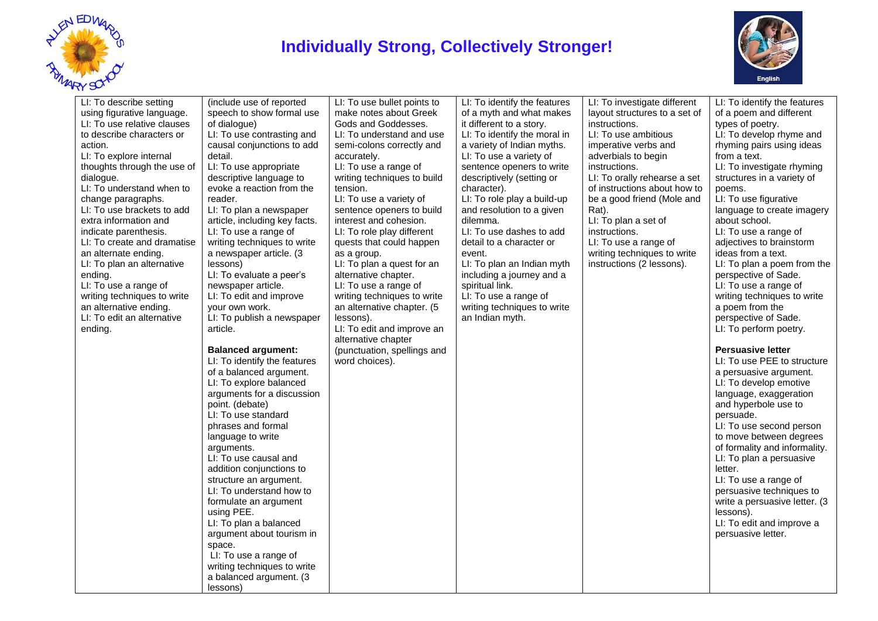

## **Individually Strong, Collectively Stronger!**



| LI: To describe setting<br>using figurative language.<br>LI: To use relative clauses<br>to describe characters or<br>action.<br>LI: To explore internal<br>thoughts through the use of<br>dialogue.<br>LI: To understand when to<br>change paragraphs.<br>LI: To use brackets to add<br>extra information and<br>indicate parenthesis.<br>LI: To create and dramatise<br>an alternate ending.<br>LI: To plan an alternative<br>ending.<br>LI: To use a range of<br>writing techniques to write<br>an alternative ending.<br>LI: To edit an alternative<br>ending. | (include use of reported<br>speech to show formal use<br>of dialogue)<br>LI: To use contrasting and<br>causal conjunctions to add<br>detail.<br>LI: To use appropriate<br>descriptive language to<br>evoke a reaction from the<br>reader.<br>LI: To plan a newspaper<br>article, including key facts.<br>LI: To use a range of<br>writing techniques to write<br>a newspaper article. (3<br>lessons)<br>LI: To evaluate a peer's<br>newspaper article.<br>LI: To edit and improve<br>your own work.<br>LI: To publish a newspaper<br>article.<br><b>Balanced argument:</b><br>LI: To identify the features<br>of a balanced argument.<br>LI: To explore balanced<br>arguments for a discussion<br>point. (debate)<br>LI: To use standard<br>phrases and formal<br>language to write<br>arguments.<br>LI: To use causal and<br>addition conjunctions to<br>structure an argument.<br>LI: To understand how to<br>formulate an argument<br>using PEE.<br>LI: To plan a balanced<br>argument about tourism in<br>space.<br>LI: To use a range of<br>writing techniques to write<br>a balanced argument. (3<br>lessons) | LI: To use bullet points to<br>make notes about Greek<br>Gods and Goddesses.<br>LI: To understand and use<br>semi-colons correctly and<br>accurately.<br>LI: To use a range of<br>writing techniques to build<br>tension.<br>LI: To use a variety of<br>sentence openers to build<br>interest and cohesion.<br>LI: To role play different<br>quests that could happen<br>as a group.<br>LI: To plan a quest for an<br>alternative chapter.<br>LI: To use a range of<br>writing techniques to write<br>an alternative chapter. (5<br>lessons).<br>LI: To edit and improve an<br>alternative chapter<br>(punctuation, spellings and<br>word choices). | LI: To identify the features<br>of a myth and what makes<br>it different to a story.<br>LI: To identify the moral in<br>a variety of Indian myths.<br>LI: To use a variety of<br>sentence openers to write<br>descriptively (setting or<br>character).<br>LI: To role play a build-up<br>and resolution to a given<br>dilemma.<br>LI: To use dashes to add<br>detail to a character or<br>event.<br>LI: To plan an Indian myth<br>including a journey and a<br>spiritual link.<br>LI: To use a range of<br>writing techniques to write<br>an Indian myth. | LI: To investigate different<br>layout structures to a set of<br>instructions.<br>LI: To use ambitious<br>imperative verbs and<br>adverbials to begin<br>instructions.<br>LI: To orally rehearse a set<br>of instructions about how to<br>be a good friend (Mole and<br>Rat).<br>LI: To plan a set of<br>instructions.<br>LI: To use a range of<br>writing techniques to write<br>instructions (2 lessons). | LI: To identify the features<br>of a poem and different<br>types of poetry.<br>LI: To develop rhyme and<br>rhyming pairs using ideas<br>from a text.<br>LI: To investigate rhyming<br>structures in a variety of<br>poems.<br>LI: To use figurative<br>language to create imagery<br>about school.<br>LI: To use a range of<br>adjectives to brainstorm<br>ideas from a text.<br>LI: To plan a poem from the<br>perspective of Sade.<br>LI: To use a range of<br>writing techniques to write<br>a poem from the<br>perspective of Sade.<br>LI: To perform poetry.<br><b>Persuasive letter</b><br>LI: To use PEE to structure<br>a persuasive argument.<br>LI: To develop emotive<br>language, exaggeration<br>and hyperbole use to<br>persuade.<br>LI: To use second person<br>to move between degrees<br>of formality and informality.<br>LI: To plan a persuasive<br>letter.<br>LI: To use a range of<br>persuasive techniques to<br>write a persuasive letter. (3)<br>lessons).<br>LI: To edit and improve a<br>persuasive letter. |
|-------------------------------------------------------------------------------------------------------------------------------------------------------------------------------------------------------------------------------------------------------------------------------------------------------------------------------------------------------------------------------------------------------------------------------------------------------------------------------------------------------------------------------------------------------------------|---------------------------------------------------------------------------------------------------------------------------------------------------------------------------------------------------------------------------------------------------------------------------------------------------------------------------------------------------------------------------------------------------------------------------------------------------------------------------------------------------------------------------------------------------------------------------------------------------------------------------------------------------------------------------------------------------------------------------------------------------------------------------------------------------------------------------------------------------------------------------------------------------------------------------------------------------------------------------------------------------------------------------------------------------------------------------------------------------------------------|-----------------------------------------------------------------------------------------------------------------------------------------------------------------------------------------------------------------------------------------------------------------------------------------------------------------------------------------------------------------------------------------------------------------------------------------------------------------------------------------------------------------------------------------------------------------------------------------------------------------------------------------------------|-----------------------------------------------------------------------------------------------------------------------------------------------------------------------------------------------------------------------------------------------------------------------------------------------------------------------------------------------------------------------------------------------------------------------------------------------------------------------------------------------------------------------------------------------------------|-------------------------------------------------------------------------------------------------------------------------------------------------------------------------------------------------------------------------------------------------------------------------------------------------------------------------------------------------------------------------------------------------------------|---------------------------------------------------------------------------------------------------------------------------------------------------------------------------------------------------------------------------------------------------------------------------------------------------------------------------------------------------------------------------------------------------------------------------------------------------------------------------------------------------------------------------------------------------------------------------------------------------------------------------------------------------------------------------------------------------------------------------------------------------------------------------------------------------------------------------------------------------------------------------------------------------------------------------------------------------------------------------------------------------------------------------------------|